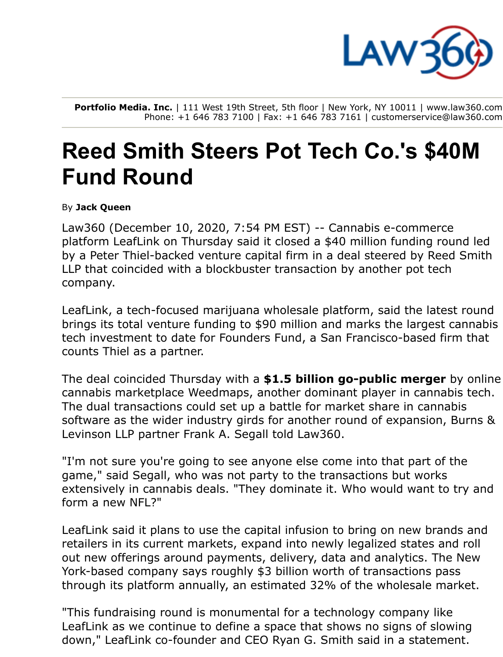

**Portfolio Media. Inc.** | 111 West 19th Street, 5th floor | New York, NY 10011 | www.law360.com Phone: +1 646 783 7100 | Fax: +1 646 783 7161 | customerservice@law360.com

## **Reed Smith Steers Pot Tech Co.'s \$40M Fund Round**

By **Jack Queen**

Law360 [\(Decembe](https://www.law360.com/companies/leaflink-inc)r 10, 2020, 7:54 PM EST) -- Cannabis e-commerce [platform LeafLink on Thursday said it closed a \\$40 million funding round led](https://www.law360.com/firms/reed-smith) by a Peter Thiel-backed venture capital firm in a deal steered by Reed Smith LLP that coincided with a blockbuster transaction by another pot tech company.

LeafLink, a tech-focused m[arijuana wholes](https://www.law360.com/companies/founders-fund)ale platform, said the latest round brings its total venture funding to \$90 million and marks the largest cannabis tech investment to date for Founders Fund, a San Francisco-based firm that counts Thiel as a partner.

The deal coincided Th[ursday with](https://www.law360.com/companies/weedmaps) a **\$1.5 billion go-public merger** by online cannabis marketplace Weedmaps, another dominant player in cannabis tech. [The dual transactions could set up a battle for market share in cannabis](https://www.law360.com/firms/burns-levinson) software as the wider industry girds for another round of expansion, Burns & Levinson LLP partner Frank A. Segall told Law360.

"I'm not sure you're going to see anyone else come into that part of the game," said Segall, who was not party to the transactions but works extensively in cannabis deals. "They dominate it. Who would want to try and form a new NFL?"

LeafLink said it plans to use the capital infusion to bring on new brands and retailers in its current markets, expand into newly legalized states and roll out new offerings around payments, delivery, data and analytics. The New York-based company says roughly \$3 billion worth of transactions pass through its platform annually, an estimated 32% of the wholesale market.

"This fundraising round is monumental for a technology company like LeafLink as we continue to define a space that shows no signs of slowing down," LeafLink co-founder and CEO Ryan G. Smith said in a statement.